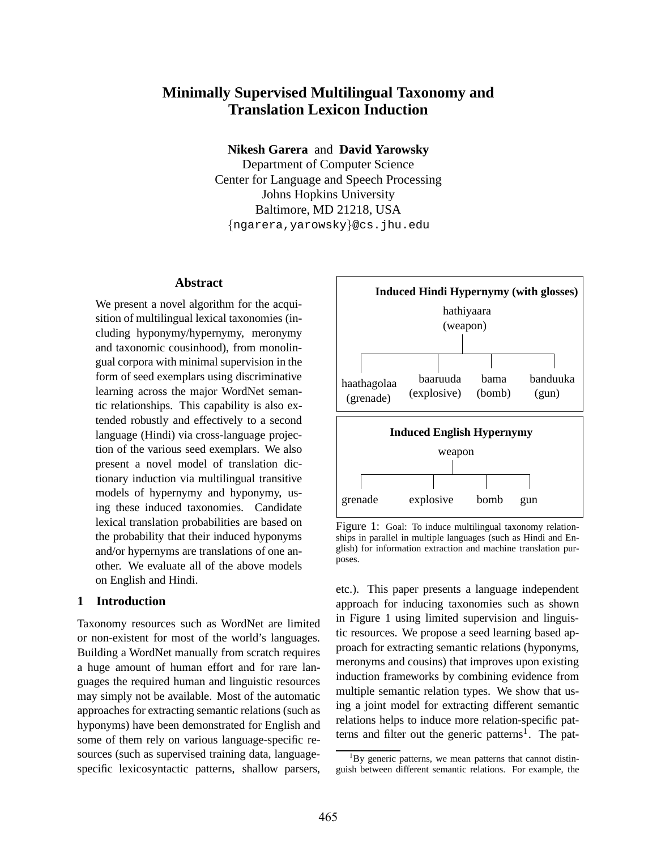# **Minimally Supervised Multilingual Taxonomy and Translation Lexicon Induction**

**Nikesh Garera** and **David Yarowsky**

Department of Computer Science Center for Language and Speech Processing Johns Hopkins University Baltimore, MD 21218, USA {ngarera,yarowsky}@cs.jhu.edu

# **Abstract**

We present a novel algorithm for the acquisition of multilingual lexical taxonomies (including hyponymy/hypernymy, meronymy and taxonomic cousinhood), from monolingual corpora with minimal supervision in the form of seed exemplars using discriminative learning across the major WordNet semantic relationships. This capability is also extended robustly and effectively to a second language (Hindi) via cross-language projection of the various seed exemplars. We also present a novel model of translation dictionary induction via multilingual transitive models of hypernymy and hyponymy, using these induced taxonomies. Candidate lexical translation probabilities are based on the probability that their induced hyponyms and/or hypernyms are translations of one another. We evaluate all of the above models on English and Hindi.

### **1 Introduction**

Taxonomy resources such as WordNet are limited or non-existent for most of the world's languages. Building a WordNet manually from scratch requires a huge amount of human effort and for rare languages the required human and linguistic resources may simply not be available. Most of the automatic approaches for extracting semantic relations (such as hyponyms) have been demonstrated for English and some of them rely on various language-specific resources (such as supervised training data, languagespecific lexicosyntactic patterns, shallow parsers,



Figure 1: Goal: To induce multilingual taxonomy relationships in parallel in multiple languages (such as Hindi and English) for information extraction and machine translation purposes.

etc.). This paper presents a language independent approach for inducing taxonomies such as shown in Figure 1 using limited supervision and linguistic resources. We propose a seed learning based approach for extracting semantic relations (hyponyms, meronyms and cousins) that improves upon existing induction frameworks by combining evidence from multiple semantic relation types. We show that using a joint model for extracting different semantic relations helps to induce more relation-specific patterns and filter out the generic patterns<sup>1</sup>. The pat-

 ${}^{1}$ By generic patterns, we mean patterns that cannot distinguish between different semantic relations. For example, the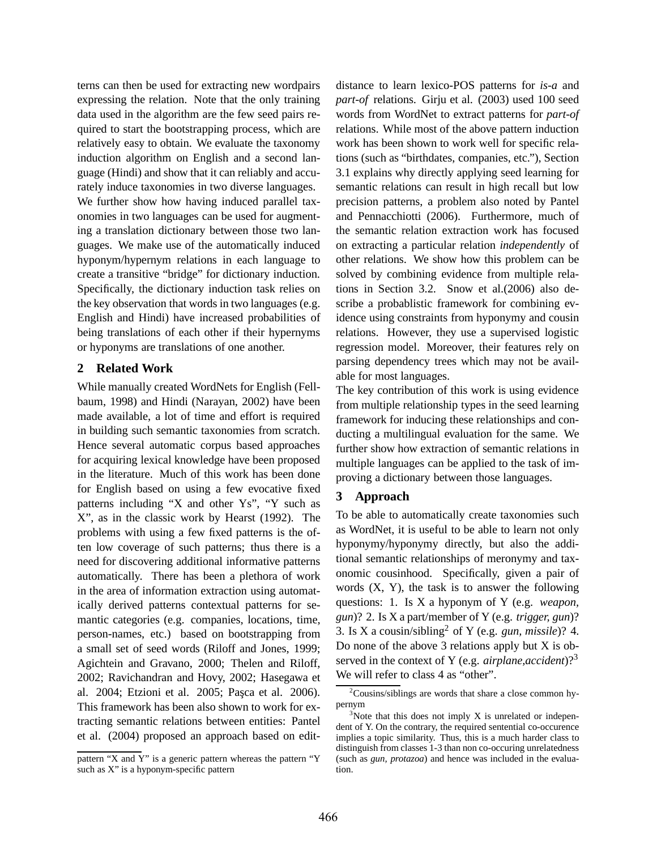terns can then be used for extracting new wordpairs expressing the relation. Note that the only training data used in the algorithm are the few seed pairs required to start the bootstrapping process, which are relatively easy to obtain. We evaluate the taxonomy induction algorithm on English and a second language (Hindi) and show that it can reliably and accurately induce taxonomies in two diverse languages. We further show how having induced parallel taxonomies in two languages can be used for augmenting a translation dictionary between those two languages. We make use of the automatically induced hyponym/hypernym relations in each language to create a transitive "bridge" for dictionary induction. Specifically, the dictionary induction task relies on the key observation that words in two languages (e.g. English and Hindi) have increased probabilities of being translations of each other if their hypernyms or hyponyms are translations of one another.

### **2 Related Work**

While manually created WordNets for English (Fellbaum, 1998) and Hindi (Narayan, 2002) have been made available, a lot of time and effort is required in building such semantic taxonomies from scratch. Hence several automatic corpus based approaches for acquiring lexical knowledge have been proposed in the literature. Much of this work has been done for English based on using a few evocative fixed patterns including "X and other Ys", "Y such as X", as in the classic work by Hearst (1992). The problems with using a few fixed patterns is the often low coverage of such patterns; thus there is a need for discovering additional informative patterns automatically. There has been a plethora of work in the area of information extraction using automatically derived patterns contextual patterns for semantic categories (e.g. companies, locations, time, person-names, etc.) based on bootstrapping from a small set of seed words (Riloff and Jones, 1999; Agichtein and Gravano, 2000; Thelen and Riloff, 2002; Ravichandran and Hovy, 2002; Hasegawa et al. 2004; Etzioni et al. 2005; Pasca et al. 2006). This framework has been also shown to work for extracting semantic relations between entities: Pantel et al. (2004) proposed an approach based on editdistance to learn lexico-POS patterns for *is-a* and *part-of* relations. Girju et al. (2003) used 100 seed words from WordNet to extract patterns for *part-of* relations. While most of the above pattern induction work has been shown to work well for specific relations (such as "birthdates, companies, etc."), Section 3.1 explains why directly applying seed learning for semantic relations can result in high recall but low precision patterns, a problem also noted by Pantel and Pennacchiotti (2006). Furthermore, much of the semantic relation extraction work has focused on extracting a particular relation *independently* of other relations. We show how this problem can be solved by combining evidence from multiple relations in Section 3.2. Snow et al.(2006) also describe a probablistic framework for combining evidence using constraints from hyponymy and cousin relations. However, they use a supervised logistic regression model. Moreover, their features rely on parsing dependency trees which may not be available for most languages.

The key contribution of this work is using evidence from multiple relationship types in the seed learning framework for inducing these relationships and conducting a multilingual evaluation for the same. We further show how extraction of semantic relations in multiple languages can be applied to the task of improving a dictionary between those languages.

# **3 Approach**

To be able to automatically create taxonomies such as WordNet, it is useful to be able to learn not only hyponymy/hyponymy directly, but also the additional semantic relationships of meronymy and taxonomic cousinhood. Specifically, given a pair of words  $(X, Y)$ , the task is to answer the following questions: 1. Is X a hyponym of Y (e.g. *weapon, gun*)? 2. Is X a part/member of Y (e.g. *trigger, gun*)? 3. Is X a cousin/sibling<sup>2</sup> of Y (e.g. *gun, missile*)? 4. Do none of the above 3 relations apply but X is observed in the context of Y (e.g. *airplane,accident*)?<sup>3</sup> We will refer to class 4 as "other".

pattern "X and Y" is a generic pattern whereas the pattern "Y such as X" is a hyponym-specific pattern

 $2$ Cousins/siblings are words that share a close common hypernym

 $3$ Note that this does not imply X is unrelated or independent of Y. On the contrary, the required sentential co-occurence implies a topic similarity. Thus, this is a much harder class to distinguish from classes 1-3 than non co-occuring unrelatedness (such as *gun, protazoa*) and hence was included in the evaluation.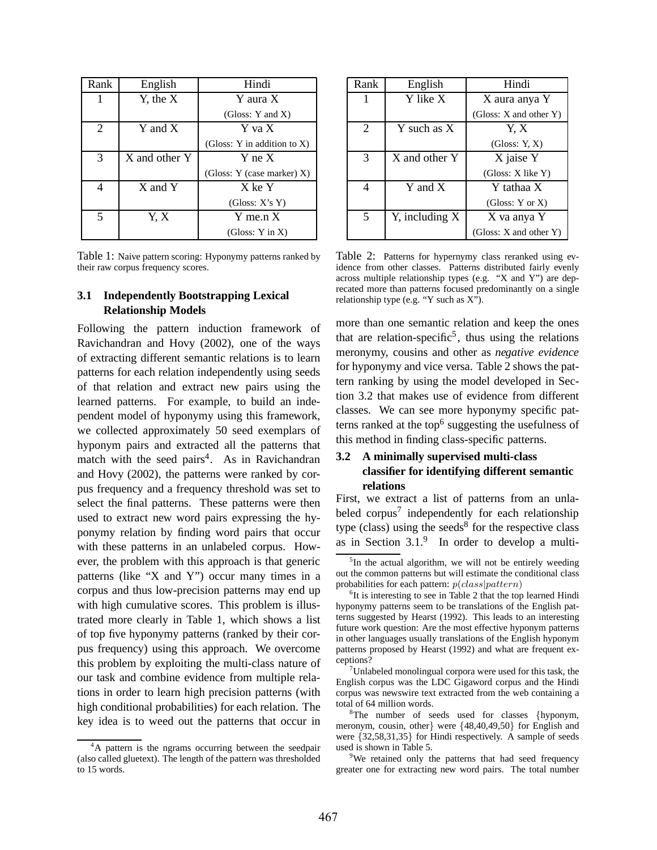| Rank          | English       | Hindi                       |
|---------------|---------------|-----------------------------|
| 1             | $Y$ , the $X$ | Y aura X                    |
|               |               | (Gloss: Y and X)            |
| 2             | Y and X       | Y va X                      |
|               |               | (Gloss: Y in addition to X) |
| $\mathcal{R}$ | X and other Y | Y ne X                      |
|               |               | (Gloss: Y (case marker) X)  |
| 4             | X and Y       | X ke Y                      |
|               |               | (Gloss: X's Y)              |
| 5             | Y, X          | $Y$ me.n $X$                |
|               |               | (Gloss: $Y$ in $X$ )        |

Table 1: Naive pattern scoring: Hyponymy patterns ranked by their raw corpus frequency scores.

# **3.1 Independently Bootstrapping Lexical Relationship Models**

Following the pattern induction framework of Ravichandran and Hovy (2002), one of the ways of extracting different semantic relations is to learn patterns for each relation independently using seeds of that relation and extract new pairs using the learned patterns. For example, to build an independent model of hyponymy using this framework, we collected approximately 50 seed exemplars of hyponym pairs and extracted all the patterns that match with the seed pairs<sup>4</sup>. As in Ravichandran and Hovy (2002), the patterns were ranked by corpus frequency and a frequency threshold was set to select the final patterns. These patterns were then used to extract new word pairs expressing the hyponymy relation by finding word pairs that occur with these patterns in an unlabeled corpus. However, the problem with this approach is that generic patterns (like "X and Y") occur many times in a corpus and thus low-precision patterns may end up with high cumulative scores. This problem is illustrated more clearly in Table 1, which shows a list of top five hyponymy patterns (ranked by their corpus frequency) using this approach. We overcome this problem by exploiting the multi-class nature of our task and combine evidence from multiple relations in order to learn high precision patterns (with high conditional probabilities) for each relation. The key idea is to weed out the patterns that occur in

| Rank           | English             | Hindi                       |
|----------------|---------------------|-----------------------------|
|                | Y like X            | X aura anya Y               |
|                |                     | (Gloss: $X$ and other $Y$ ) |
| $\overline{2}$ | $Y$ such as $X$     | Y, X                        |
|                |                     | (Gloss: Y, X)               |
| 3              | X and other Y       | X jaise Y                   |
|                |                     | (Gloss: X like Y)           |
|                | Y and X             | Y tathaa X                  |
|                |                     | (Gloss: $Y$ or $X$ )        |
| 5              | $Y$ , including $X$ | X va anya Y                 |
|                |                     | (Gloss: $X$ and other $Y$ ) |

Table 2: Patterns for hypernymy class reranked using evidence from other classes. Patterns distributed fairly evenly across multiple relationship types (e.g. "X and Y") are deprecated more than patterns focused predominantly on a single relationship type (e.g. "Y such as  $X$ ").

more than one semantic relation and keep the ones that are relation-specific<sup>5</sup>, thus using the relations meronymy, cousins and other as *negative evidence* for hyponymy and vice versa. Table 2 shows the pattern ranking by using the model developed in Section 3.2 that makes use of evidence from different classes. We can see more hyponymy specific patterns ranked at the top<sup>6</sup> suggesting the usefulness of this method in finding class-specific patterns.

# **3.2 A minimally supervised multi-class classifier for identifying different semantic relations**

First, we extract a list of patterns from an unlabeled corpus<sup>7</sup> independently for each relationship type (class) using the seeds<sup>8</sup> for the respective class as in Section  $3.1<sup>9</sup>$  In order to develop a multi-

<sup>&</sup>lt;sup>4</sup>A pattern is the ngrams occurring between the seedpair (also called gluetext). The length of the pattern was thresholded to 15 words.

<sup>&</sup>lt;sup>5</sup>In the actual algorithm, we will not be entirely weeding out the common patterns but will estimate the conditional class probabilities for each pattern:  $p(class|pattern)$ 

<sup>&</sup>lt;sup>6</sup>It is interesting to see in Table 2 that the top learned Hindi hyponymy patterns seem to be translations of the English patterns suggested by Hearst (1992). This leads to an interesting future work question: Are the most effective hyponym patterns in other languages usually translations of the English hyponym patterns proposed by Hearst (1992) and what are frequent exceptions?

<sup>&</sup>lt;sup>7</sup>Unlabeled monolingual corpora were used for this task, the English corpus was the LDC Gigaword corpus and the Hindi corpus was newswire text extracted from the web containing a total of 64 million words.

 $8$ The number of seeds used for classes {hyponym, meronym, cousin, other} were {48,40,49,50} for English and were {32,58,31,35} for Hindi respectively. A sample of seeds used is shown in Table 5.

<sup>&</sup>lt;sup>9</sup>We retained only the patterns that had seed frequency greater one for extracting new word pairs. The total number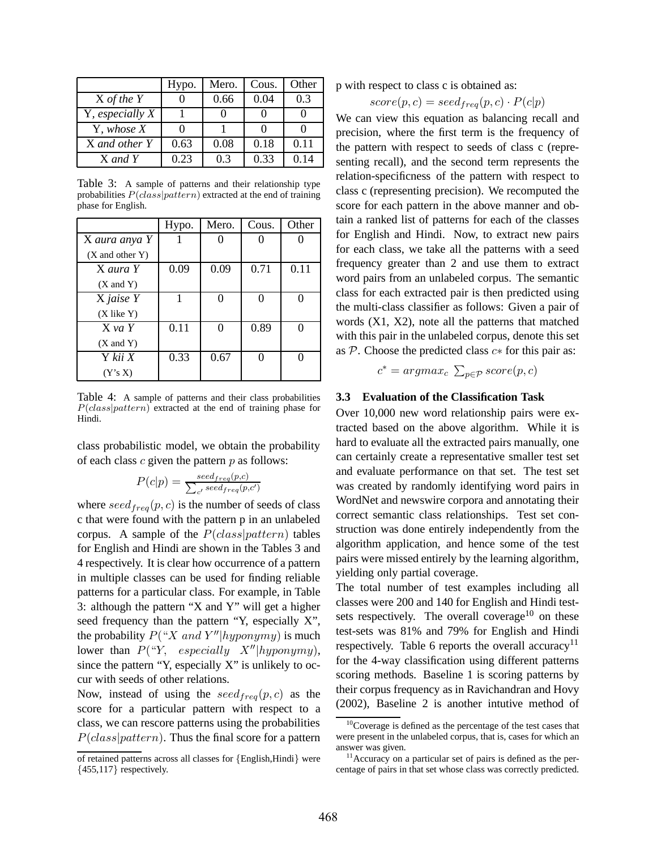|                 | Hypo. | Mero. | Cous. | Other |
|-----------------|-------|-------|-------|-------|
| $X$ of the $Y$  |       | 0.66  | 0.04  | 0.3   |
| Y, especially X |       |       |       |       |
| Y, whose X      |       |       |       |       |
| X and other Y   | 0.63  | 0.08  | 0.18  | 0.11  |
| X and Y         | 0.23  | 0.3   | 0.33  | 0.14  |

Table 3: A sample of patterns and their relationship type probabilities  $P(class|pattern)$  extracted at the end of training phase for English.

|                   | Hypo. | Mero. | Cous. | Other |
|-------------------|-------|-------|-------|-------|
| X aura anya Y     |       |       |       |       |
| $(X$ and other Y) |       |       |       |       |
| X aura Y          | 0.09  | 0.09  | 0.71  | 0.11  |
| $(X$ and $Y)$     |       |       |       |       |
| X jaise Y         |       | 0     | ∩     |       |
| $(X$ like $Y)$    |       |       |       |       |
| $X$ va Y          | 0.11  | 0     | 0.89  |       |
| $(X$ and $Y)$     |       |       |       |       |
| Y kii X           | 0.33  | 0.67  |       |       |
| (Y's X)           |       |       |       |       |

Table 4: A sample of patterns and their class probabilities  $P(class|pattern)$  extracted at the end of training phase for Hindi.

class probabilistic model, we obtain the probability of each class  $c$  given the pattern  $p$  as follows:

$$
P(c|p) = \frac{seed_{freq}(p,c)}{\sum_{c'} seed_{freq}(p,c')}
$$

where  $seed_{freq}(p, c)$  is the number of seeds of class c that were found with the pattern p in an unlabeled corpus. A sample of the  $P(class|pattern)$  tables for English and Hindi are shown in the Tables 3 and 4 respectively. It is clear how occurrence of a pattern in multiple classes can be used for finding reliable patterns for a particular class. For example, in Table 3: although the pattern "X and Y" will get a higher seed frequency than the pattern "Y, especially X", the probability  $P("X and Y" | hyponymy)$  is much lower than  $P("Y, especially X''|hyponymy),$ since the pattern "Y, especially X" is unlikely to occur with seeds of other relations.

Now, instead of using the  $seed_{freq}(p, c)$  as the score for a particular pattern with respect to a class, we can rescore patterns using the probabilities  $P(class|pattern)$ . Thus the final score for a pattern p with respect to class c is obtained as:

$$
score(p, c) = seed_{freq}(p, c) \cdot P(c|p)
$$

We can view this equation as balancing recall and precision, where the first term is the frequency of the pattern with respect to seeds of class c (representing recall), and the second term represents the relation-specificness of the pattern with respect to class c (representing precision). We recomputed the score for each pattern in the above manner and obtain a ranked list of patterns for each of the classes for English and Hindi. Now, to extract new pairs for each class, we take all the patterns with a seed frequency greater than 2 and use them to extract word pairs from an unlabeled corpus. The semantic class for each extracted pair is then predicted using the multi-class classifier as follows: Given a pair of words (X1, X2), note all the patterns that matched with this pair in the unlabeled corpus, denote this set as  $\mathcal P$ . Choose the predicted class  $c*$  for this pair as:

 $c^* = argmax_c \sum_{p \in \mathcal{P}} score(p, c)$ 

### **3.3 Evaluation of the Classification Task**

Over 10,000 new word relationship pairs were extracted based on the above algorithm. While it is hard to evaluate all the extracted pairs manually, one can certainly create a representative smaller test set and evaluate performance on that set. The test set was created by randomly identifying word pairs in WordNet and newswire corpora and annotating their correct semantic class relationships. Test set construction was done entirely independently from the algorithm application, and hence some of the test pairs were missed entirely by the learning algorithm, yielding only partial coverage.

The total number of test examples including all classes were 200 and 140 for English and Hindi testsets respectively. The overall coverage<sup>10</sup> on these test-sets was 81% and 79% for English and Hindi respectively. Table 6 reports the overall accuracy<sup>11</sup> for the 4-way classification using different patterns scoring methods. Baseline 1 is scoring patterns by their corpus frequency as in Ravichandran and Hovy (2002), Baseline 2 is another intutive method of

of retained patterns across all classes for {English,Hindi} were  ${455,117}$  respectively.

<sup>&</sup>lt;sup>10</sup>Coverage is defined as the percentage of the test cases that were present in the unlabeled corpus, that is, cases for which an answer was given.

<sup>&</sup>lt;sup>11</sup> Accuracy on a particular set of pairs is defined as the percentage of pairs in that set whose class was correctly predicted.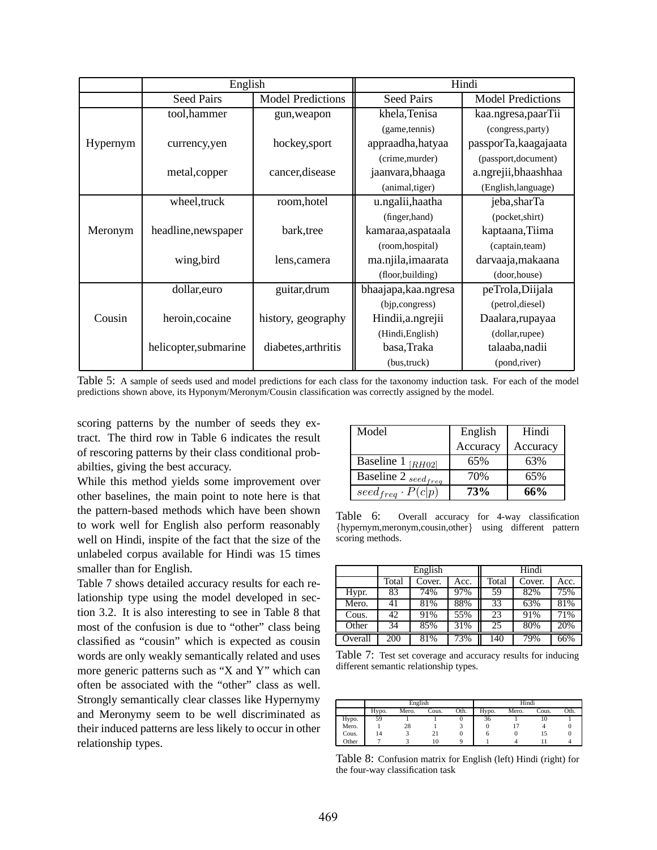|          | English              |                          | Hindi                 |                          |
|----------|----------------------|--------------------------|-----------------------|--------------------------|
|          | <b>Seed Pairs</b>    | <b>Model Predictions</b> | <b>Seed Pairs</b>     | <b>Model Predictions</b> |
|          | tool, hammer         | gun, weapon              | khela, Tenisa         | kaa.ngresa,paarTii       |
|          |                      |                          | (game, tennis)        | (congress, party)        |
| Hypernym | currency, yen        | hockey, sport            | appraadha, hatyaa     | passporTa, kaagajaata    |
|          |                      |                          | (crime, murder)       | (passport, document)     |
|          | metal, copper        | cancer, disease          | jaanvara, bhaaga      | a.ngrejii, bhaashhaa     |
|          |                      |                          | (animal, tiger)       | (English, language)      |
|          | wheel, truck         | room, hotel              | u.ngalii, haatha      | jeba, sharTa             |
|          |                      |                          | (finger, hand)        | (pocket, shirt)          |
| Meronym  | headline, newspaper  | bark, tree               | kamaraa, aspataala    | kaptaana, Tiima          |
|          |                      |                          | (room, hospital)      | (captain, team)          |
|          | wing, bird           | lens, camera             | ma.njila, imaarata    | darvaaja, makaana        |
|          |                      |                          | (floor, building)     | (door,house)             |
|          | dollar, euro         | guitar, drum             | bhaajapa, kaa. ngresa | peTrola, Diijala         |
|          |                      |                          | (bjp,congress)        | (petrol, diesel)         |
| Cousin   | heroin, cocaine      | history, geography       | Hindii, a.ngrejii     | Daalara, rupayaa         |
|          |                      |                          | (Hindi, English)      | (dollar,rupee)           |
|          | helicopter,submarine | diabetes, arthritis      | basa, Traka           | talaaba, nadii           |
|          |                      |                          | (bus, truck)          | (pond,river)             |

Table 5: A sample of seeds used and model predictions for each class for the taxonomy induction task. For each of the model predictions shown above, its Hyponym/Meronym/Cousin classification was correctly assigned by the model.

scoring patterns by the number of seeds they extract. The third row in Table 6 indicates the result of rescoring patterns by their class conditional probabilties, giving the best accuracy.

While this method yields some improvement over other baselines, the main point to note here is that the pattern-based methods which have been shown to work well for English also perform reasonably well on Hindi, inspite of the fact that the size of the unlabeled corpus available for Hindi was 15 times smaller than for English.

Table 7 shows detailed accuracy results for each relationship type using the model developed in section 3.2. It is also interesting to see in Table 8 that most of the confusion is due to "other" class being classified as "cousin" which is expected as cousin words are only weakly semantically related and uses more generic patterns such as "X and Y" which can often be associated with the "other" class as well. Strongly semantically clear classes like Hypernymy and Meronymy seem to be well discriminated as their induced patterns are less likely to occur in other relationship types.

| Model                       | English  | Hindi    |
|-----------------------------|----------|----------|
|                             | Accuracy | Accuracy |
| Baseline 1 [ $RH02$ ]       | 65%      | 63%      |
| Baseline 2 $_{seed_{freq}}$ | 70%      | 65%      |
| $seed_{freq} \cdot P(c p)$  | 73%      | 66%      |

Table 6: Overall accuracy for 4-way classification {hypernym,meronym,cousin,other} using different pattern scoring methods.

|         | English |        |      | Hindi |        |      |
|---------|---------|--------|------|-------|--------|------|
|         | Total   | Cover. | Acc. | Total | Cover. | Acc. |
| Hypr.   | 83      | 74%    | 97%  | 59    | 82%    | 75%  |
| Mero.   | 41      | 81%    | 88%  | 33    | 63%    | 81%  |
| Cous.   | 42      | 91%    | 55%  | 23    | 91%    | 71%  |
| Other   | 34      | 85%    | 31%  | 25    | 80%    | 20%  |
| Overall | 200     | 81%    | 73%  | 140   | 79%    | 66%  |

Table 7: Test set coverage and accuracy results for inducing different semantic relationship types.

|       | English |       |       |      | Hindi |       |       |      |
|-------|---------|-------|-------|------|-------|-------|-------|------|
|       | Hypo.   | Mero. | Cous. | Oth. | Hypo. | Mero. | Cous. | Oth. |
| Hypo. | 59      |       |       |      | 36    |       | 10    |      |
| Mero. |         | 28    |       |      |       |       |       |      |
| Cous. | 14      |       | 21    |      |       |       |       |      |
| Other |         |       | 10    |      |       |       |       |      |

Table 8: Confusion matrix for English (left) Hindi (right) for the four-way classification task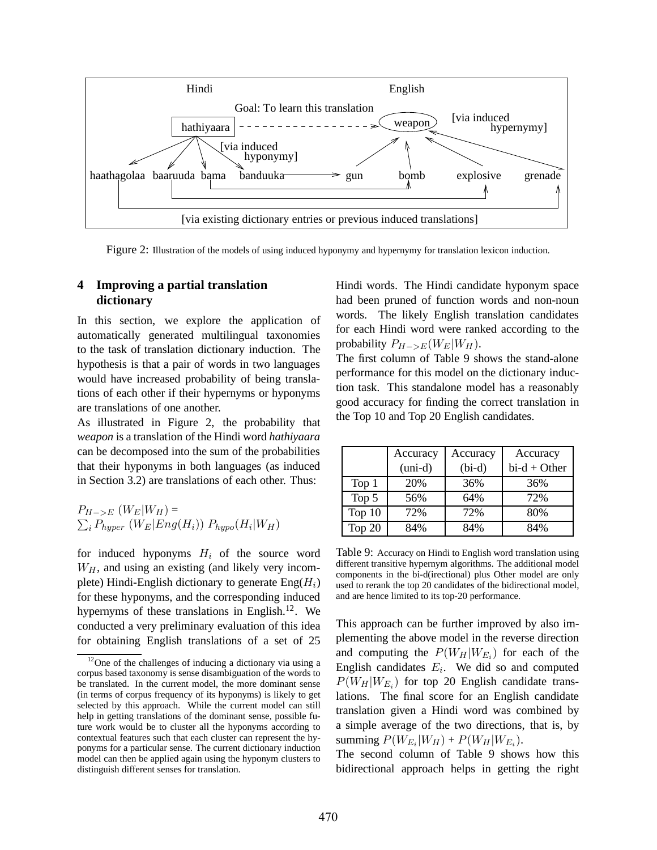

Figure 2: Illustration of the models of using induced hyponymy and hypernymy for translation lexicon induction.

# **4 Improving a partial translation dictionary**

In this section, we explore the application of automatically generated multilingual taxonomies to the task of translation dictionary induction. The hypothesis is that a pair of words in two languages would have increased probability of being translations of each other if their hypernyms or hyponyms are translations of one another.

As illustrated in Figure 2, the probability that *weapon* is a translation of the Hindi word *hathiyaara* can be decomposed into the sum of the probabilities that their hyponyms in both languages (as induced in Section 3.2) are translations of each other. Thus:

 $P_{H->E}$   $(W_E|W_H) =$  $\sum_i P_{hyper} (W_E | Eng(H_i)) P_{hypo}(H_i | W_H)$ 

for induced hyponyms  $H_i$  of the source word  $W_H$ , and using an existing (and likely very incomplete) Hindi-English dictionary to generate  $\text{Eng}(H_i)$ for these hyponyms, and the corresponding induced hypernyms of these translations in English.<sup>12</sup>. We conducted a very preliminary evaluation of this idea for obtaining English translations of a set of 25

Hindi words. The Hindi candidate hyponym space had been pruned of function words and non-noun words. The likely English translation candidates for each Hindi word were ranked according to the probability  $P_{H->E}(W_E|W_H)$ .

The first column of Table 9 shows the stand-alone performance for this model on the dictionary induction task. This standalone model has a reasonably good accuracy for finding the correct translation in the Top 10 and Top 20 English candidates.

|        | Accuracy<br>$(uni-d)$ | Accuracy<br>$(bi-d)$ | Accuracy<br>$bid + Other$ |
|--------|-----------------------|----------------------|---------------------------|
| Top 1  | 20%                   | 36%                  | 36%                       |
| Top 5  | 56%                   | 64%                  | 72%                       |
| Top 10 | 72%                   | 72%                  | 80%                       |
| Top 20 | 84%                   | 84%                  | 84%                       |

Table 9: Accuracy on Hindi to English word translation using different transitive hypernym algorithms. The additional model components in the bi-d(irectional) plus Other model are only used to rerank the top 20 candidates of the bidirectional model, and are hence limited to its top-20 performance.

This approach can be further improved by also implementing the above model in the reverse direction and computing the  $P(W_H|W_{E_i})$  for each of the English candidates  $E_i$ . We did so and computed  $P(W_H|W_{E_i})$  for top 20 English candidate translations. The final score for an English candidate translation given a Hindi word was combined by a simple average of the two directions, that is, by summing  $P(W_{E_i}|W_H) + P(W_H|W_{E_i})$ .

The second column of Table 9 shows how this bidirectional approach helps in getting the right

 $12$ One of the challenges of inducing a dictionary via using a corpus based taxonomy is sense disambiguation of the words to be translated. In the current model, the more dominant sense (in terms of corpus frequency of its hyponyms) is likely to get selected by this approach. While the current model can still help in getting translations of the dominant sense, possible future work would be to cluster all the hyponyms according to contextual features such that each cluster can represent the hyponyms for a particular sense. The current dictionary induction model can then be applied again using the hyponym clusters to distinguish different senses for translation.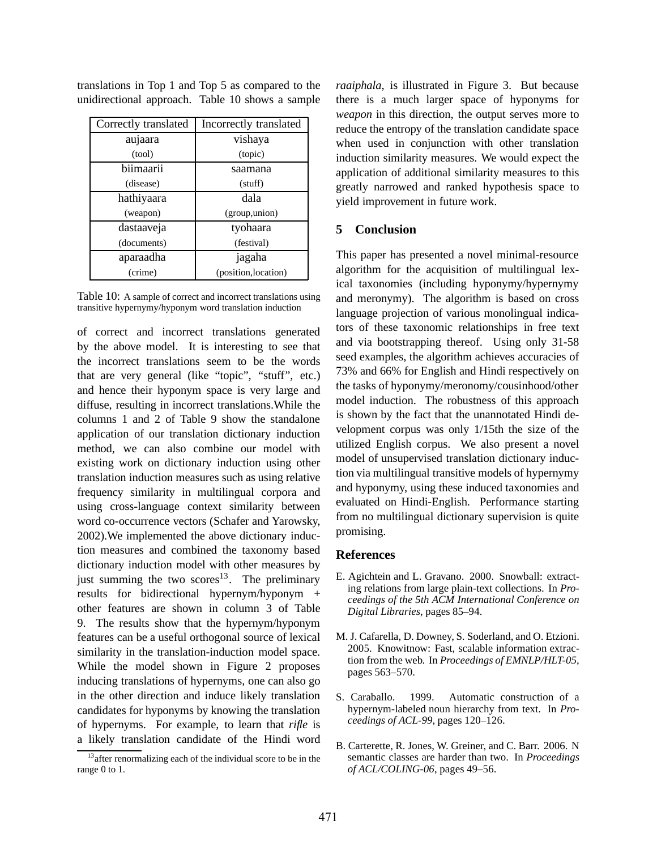| Correctly translated | Incorrectly translated |
|----------------------|------------------------|
| aujaara              | vishaya                |
| (tool)               | (topic)                |
| biimaarii            | saamana                |
| (disease)            | (stuff)                |
| hathiyaara           | dala                   |
| (weapon)             | (group,union)          |
| dastaaveja           | tyohaara               |
| (documents)          | (festival)             |
| aparaadha            | jagaha                 |
| (crime)              | (position, location)   |

translations in Top 1 and Top 5 as compared to the unidirectional approach. Table 10 shows a sample

Table 10: A sample of correct and incorrect translations using transitive hypernymy/hyponym word translation induction

of correct and incorrect translations generated by the above model. It is interesting to see that the incorrect translations seem to be the words that are very general (like "topic", "stuff", etc.) and hence their hyponym space is very large and diffuse, resulting in incorrect translations.While the columns 1 and 2 of Table 9 show the standalone application of our translation dictionary induction method, we can also combine our model with existing work on dictionary induction using other translation induction measures such as using relative frequency similarity in multilingual corpora and using cross-language context similarity between word co-occurrence vectors (Schafer and Yarowsky, 2002).We implemented the above dictionary induction measures and combined the taxonomy based dictionary induction model with other measures by just summing the two scores<sup>13</sup>. The preliminary results for bidirectional hypernym/hyponym + other features are shown in column 3 of Table 9. The results show that the hypernym/hyponym features can be a useful orthogonal source of lexical similarity in the translation-induction model space. While the model shown in Figure 2 proposes inducing translations of hypernyms, one can also go in the other direction and induce likely translation candidates for hyponyms by knowing the translation of hypernyms. For example, to learn that *rifle* is a likely translation candidate of the Hindi word

<sup>13</sup> after renormalizing each of the individual score to be in the range 0 to 1.

*raaiphala*, is illustrated in Figure 3. But because there is a much larger space of hyponyms for *weapon* in this direction, the output serves more to reduce the entropy of the translation candidate space when used in conjunction with other translation induction similarity measures. We would expect the application of additional similarity measures to this greatly narrowed and ranked hypothesis space to yield improvement in future work.

# **5 Conclusion**

This paper has presented a novel minimal-resource algorithm for the acquisition of multilingual lexical taxonomies (including hyponymy/hypernymy and meronymy). The algorithm is based on cross language projection of various monolingual indicators of these taxonomic relationships in free text and via bootstrapping thereof. Using only 31-58 seed examples, the algorithm achieves accuracies of 73% and 66% for English and Hindi respectively on the tasks of hyponymy/meronomy/cousinhood/other model induction. The robustness of this approach is shown by the fact that the unannotated Hindi development corpus was only 1/15th the size of the utilized English corpus. We also present a novel model of unsupervised translation dictionary induction via multilingual transitive models of hypernymy and hyponymy, using these induced taxonomies and evaluated on Hindi-English. Performance starting from no multilingual dictionary supervision is quite promising.

#### **References**

- E. Agichtein and L. Gravano. 2000. Snowball: extracting relations from large plain-text collections. In *Proceedings of the 5th ACM International Conference on Digital Libraries*, pages 85–94.
- M. J. Cafarella, D. Downey, S. Soderland, and O. Etzioni. 2005. Knowitnow: Fast, scalable information extraction from the web. In *Proceedings of EMNLP/HLT-05*, pages 563–570.
- S. Caraballo. 1999. Automatic construction of a hypernym-labeled noun hierarchy from text. In *Proceedings of ACL-99*, pages 120–126.
- B. Carterette, R. Jones, W. Greiner, and C. Barr. 2006. N semantic classes are harder than two. In *Proceedings of ACL/COLING-06*, pages 49–56.